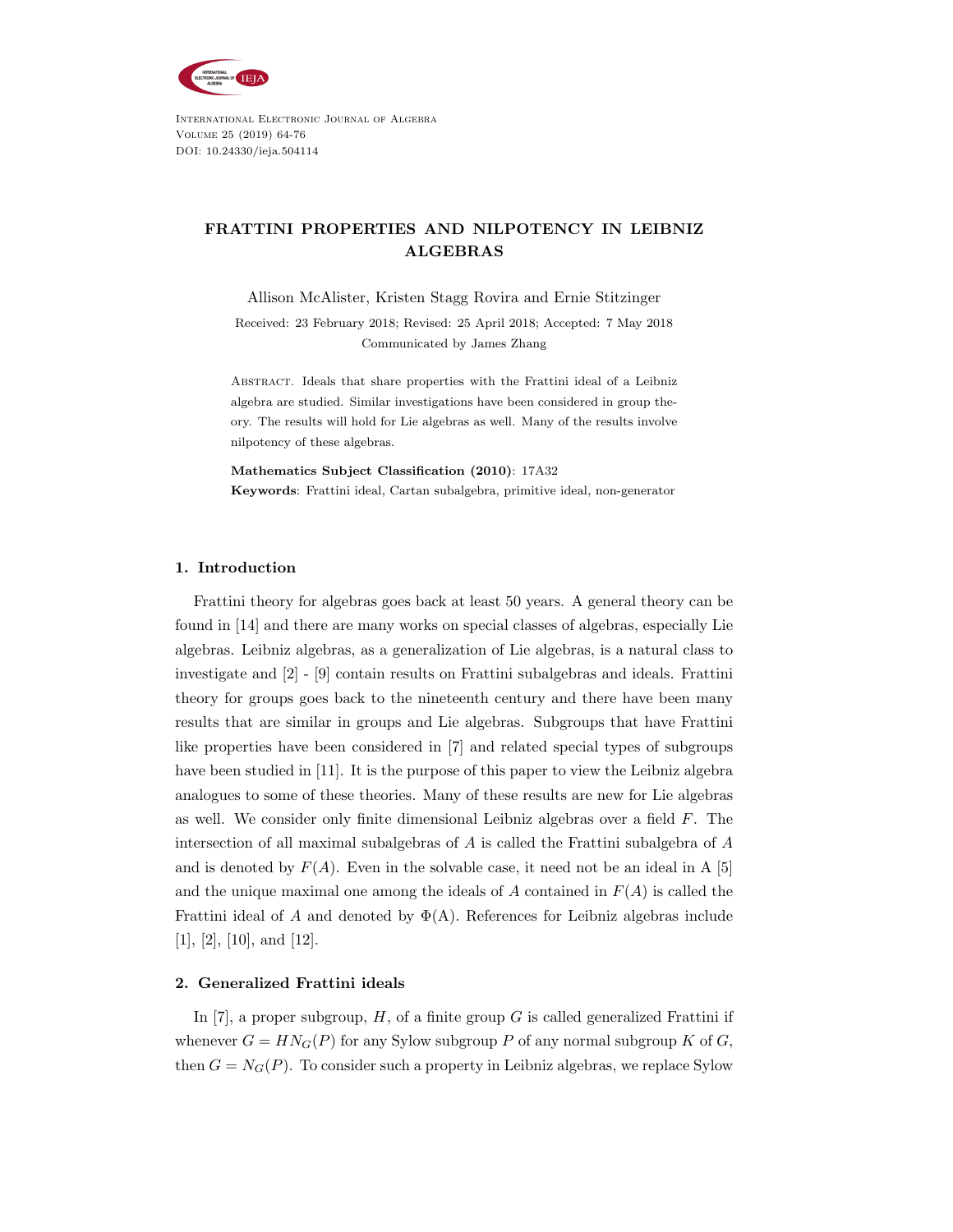

International Electronic Journal of Algebra Volume 25 (2019) 64-76 DOI: 10.24330/ieja.504114

# FRATTINI PROPERTIES AND NILPOTENCY IN LEIBNIZ ALGEBRAS

Allison McAlister, Kristen Stagg Rovira and Ernie Stitzinger

Received: 23 February 2018; Revised: 25 April 2018; Accepted: 7 May 2018 Communicated by James Zhang

Abstract. Ideals that share properties with the Frattini ideal of a Leibniz algebra are studied. Similar investigations have been considered in group theory. The results will hold for Lie algebras as well. Many of the results involve nilpotency of these algebras.

Mathematics Subject Classification (2010): 17A32 Keywords: Frattini ideal, Cartan subalgebra, primitive ideal, non-generator

## 1. Introduction

Frattini theory for algebras goes back at least 50 years. A general theory can be found in [14] and there are many works on special classes of algebras, especially Lie algebras. Leibniz algebras, as a generalization of Lie algebras, is a natural class to investigate and [2] - [9] contain results on Frattini subalgebras and ideals. Frattini theory for groups goes back to the nineteenth century and there have been many results that are similar in groups and Lie algebras. Subgroups that have Frattini like properties have been considered in [7] and related special types of subgroups have been studied in [11]. It is the purpose of this paper to view the Leibniz algebra analogues to some of these theories. Many of these results are new for Lie algebras as well. We consider only finite dimensional Leibniz algebras over a field F. The intersection of all maximal subalgebras of A is called the Frattini subalgebra of A and is denoted by  $F(A)$ . Even in the solvable case, it need not be an ideal in A [5] and the unique maximal one among the ideals of A contained in  $F(A)$  is called the Frattini ideal of A and denoted by  $\Phi(A)$ . References for Leibniz algebras include [1], [2], [10], and [12].

## 2. Generalized Frattini ideals

In [7], a proper subgroup,  $H$ , of a finite group G is called generalized Frattini if whenever  $G = H N_G(P)$  for any Sylow subgroup P of any normal subgroup K of G, then  $G = N_G(P)$ . To consider such a property in Leibniz algebras, we replace Sylow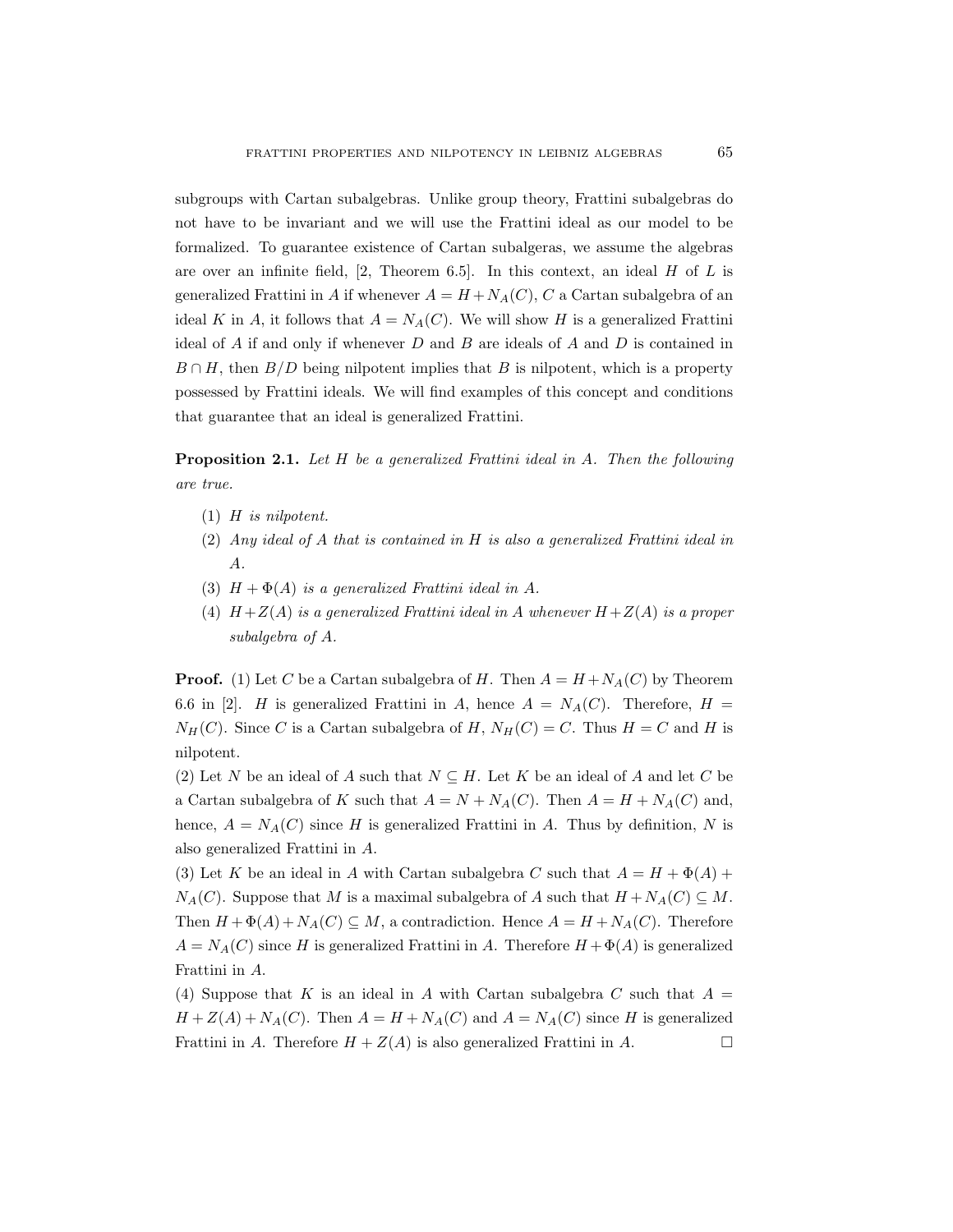subgroups with Cartan subalgebras. Unlike group theory, Frattini subalgebras do not have to be invariant and we will use the Frattini ideal as our model to be formalized. To guarantee existence of Cartan subalgeras, we assume the algebras are over an infinite field,  $[2,$  Theorem 6.5. In this context, an ideal H of L is generalized Frattini in A if whenever  $A = H + N_A(C)$ , C a Cartan subalgebra of an ideal K in A, it follows that  $A = N_A(C)$ . We will show H is a generalized Frattini ideal of A if and only if whenever D and B are ideals of A and D is contained in  $B \cap H$ , then  $B/D$  being nilpotent implies that B is nilpotent, which is a property possessed by Frattini ideals. We will find examples of this concept and conditions that guarantee that an ideal is generalized Frattini.

Proposition 2.1. Let H be a generalized Frattini ideal in A. Then the following are true.

- (1) H is nilpotent.
- (2) Any ideal of A that is contained in H is also a generalized Frattini ideal in A.
- (3)  $H + \Phi(A)$  is a generalized Frattini ideal in A.
- (4)  $H+Z(A)$  is a generalized Frattini ideal in A whenever  $H+Z(A)$  is a proper subalgebra of A.

**Proof.** (1) Let C be a Cartan subalgebra of H. Then  $A = H + N<sub>A</sub>(C)$  by Theorem 6.6 in [2]. H is generalized Frattini in A, hence  $A = N_A(C)$ . Therefore,  $H =$  $N_H(C)$ . Since C is a Cartan subalgebra of H,  $N_H(C) = C$ . Thus  $H = C$  and H is nilpotent.

(2) Let N be an ideal of A such that  $N \subseteq H$ . Let K be an ideal of A and let C be a Cartan subalgebra of K such that  $A = N + N_A(C)$ . Then  $A = H + N_A(C)$  and, hence,  $A = N_A(C)$  since H is generalized Frattini in A. Thus by definition, N is also generalized Frattini in A.

(3) Let K be an ideal in A with Cartan subalgebra C such that  $A = H + \Phi(A)$  +  $N_A(C)$ . Suppose that M is a maximal subalgebra of A such that  $H + N_A(C) \subseteq M$ . Then  $H + \Phi(A) + N_A(C) \subseteq M$ , a contradiction. Hence  $A = H + N_A(C)$ . Therefore  $A = N_A(C)$  since H is generalized Frattini in A. Therefore  $H + \Phi(A)$  is generalized Frattini in A.

(4) Suppose that K is an ideal in A with Cartan subalgebra C such that  $A =$  $H + Z(A) + N_A(C)$ . Then  $A = H + N_A(C)$  and  $A = N_A(C)$  since H is generalized Frattini in A. Therefore  $H + Z(A)$  is also generalized Frattini in A.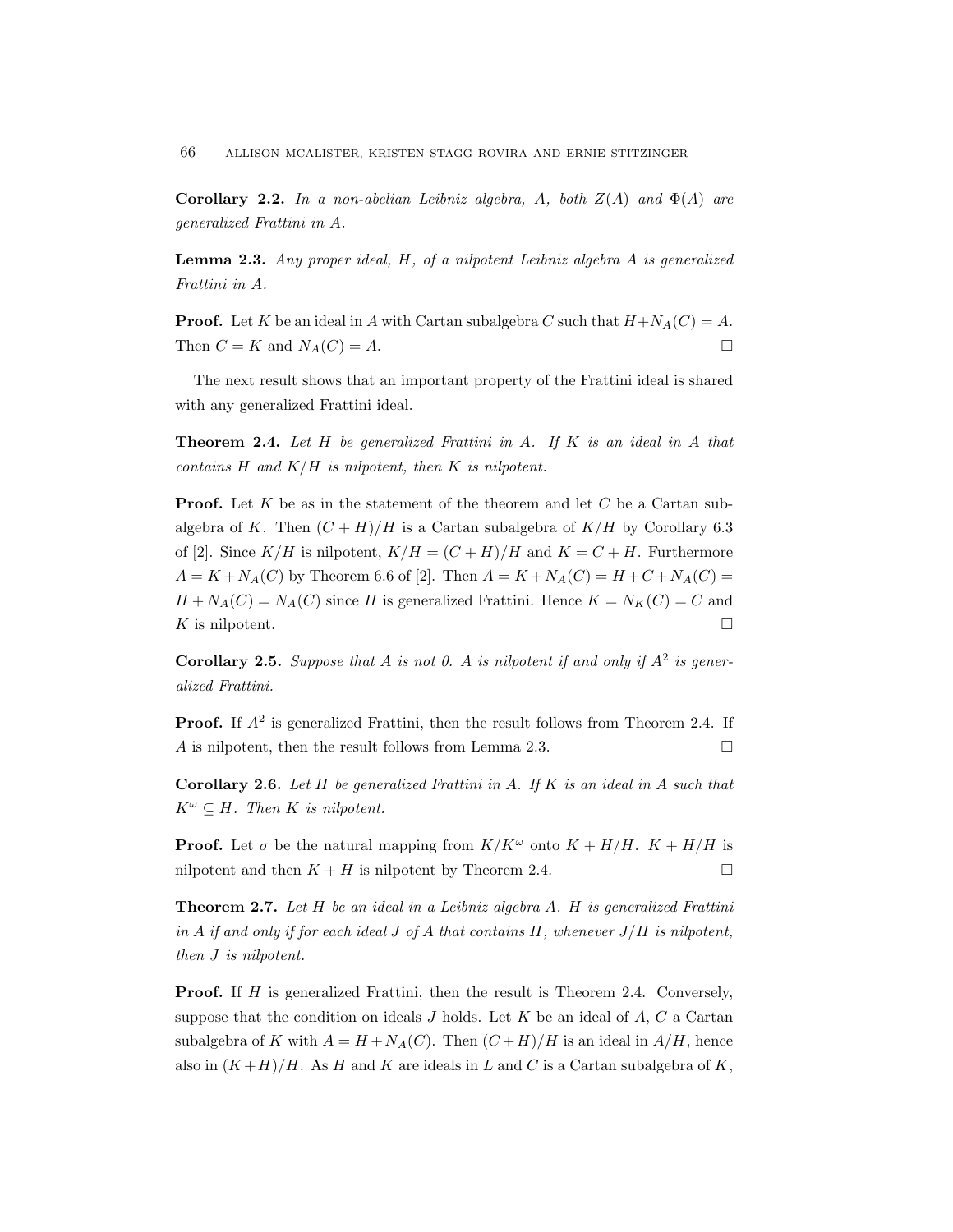Corollary 2.2. In a non-abelian Leibniz algebra, A, both  $Z(A)$  and  $\Phi(A)$  are generalized Frattini in A.

**Lemma 2.3.** Any proper ideal,  $H$ , of a nilpotent Leibniz algebra  $A$  is generalized Frattini in A.

**Proof.** Let K be an ideal in A with Cartan subalgebra C such that  $H+N<sub>A</sub>(C) = A$ . Then  $C = K$  and  $N_A(C) = A$ .

The next result shows that an important property of the Frattini ideal is shared with any generalized Frattini ideal.

**Theorem 2.4.** Let  $H$  be generalized Frattini in  $A$ . If  $K$  is an ideal in  $A$  that contains  $H$  and  $K/H$  is nilpotent, then  $K$  is nilpotent.

**Proof.** Let K be as in the statement of the theorem and let C be a Cartan subalgebra of K. Then  $(C+H)/H$  is a Cartan subalgebra of  $K/H$  by Corollary 6.3 of [2]. Since  $K/H$  is nilpotent,  $K/H = (C+H)/H$  and  $K = C+H$ . Furthermore  $A = K + N_A(C)$  by Theorem 6.6 of [2]. Then  $A = K + N_A(C) = H + C + N_A(C) =$  $H + N_A(C) = N_A(C)$  since H is generalized Frattini. Hence  $K = N_K(C) = C$  and K is nilpotent.  $\square$ 

**Corollary 2.5.** Suppose that A is not 0. A is nilpotent if and only if  $A^2$  is generalized Frattini.

**Proof.** If  $A^2$  is generalized Frattini, then the result follows from Theorem 2.4. If A is nilpotent, then the result follows from Lemma 2.3.

**Corollary 2.6.** Let  $H$  be generalized Frattini in  $A$ . If  $K$  is an ideal in  $A$  such that  $K^{\omega} \subseteq H$ . Then K is nilpotent.

**Proof.** Let  $\sigma$  be the natural mapping from  $K/K^{\omega}$  onto  $K + H/H$ .  $K + H/H$  is nilpotent and then  $K + H$  is nilpotent by Theorem 2.4.

**Theorem 2.7.** Let  $H$  be an ideal in a Leibniz algebra  $A$ .  $H$  is generalized Frattini in A if and only if for each ideal J of A that contains H, whenever  $J/H$  is nilpotent, then J is nilpotent.

**Proof.** If H is generalized Frattini, then the result is Theorem 2.4. Conversely, suppose that the condition on ideals  $J$  holds. Let  $K$  be an ideal of  $A, C$  a Cartan subalgebra of K with  $A = H + N_A(C)$ . Then  $(C+H)/H$  is an ideal in  $A/H$ , hence also in  $(K+H)/H$ . As H and K are ideals in L and C is a Cartan subalgebra of K,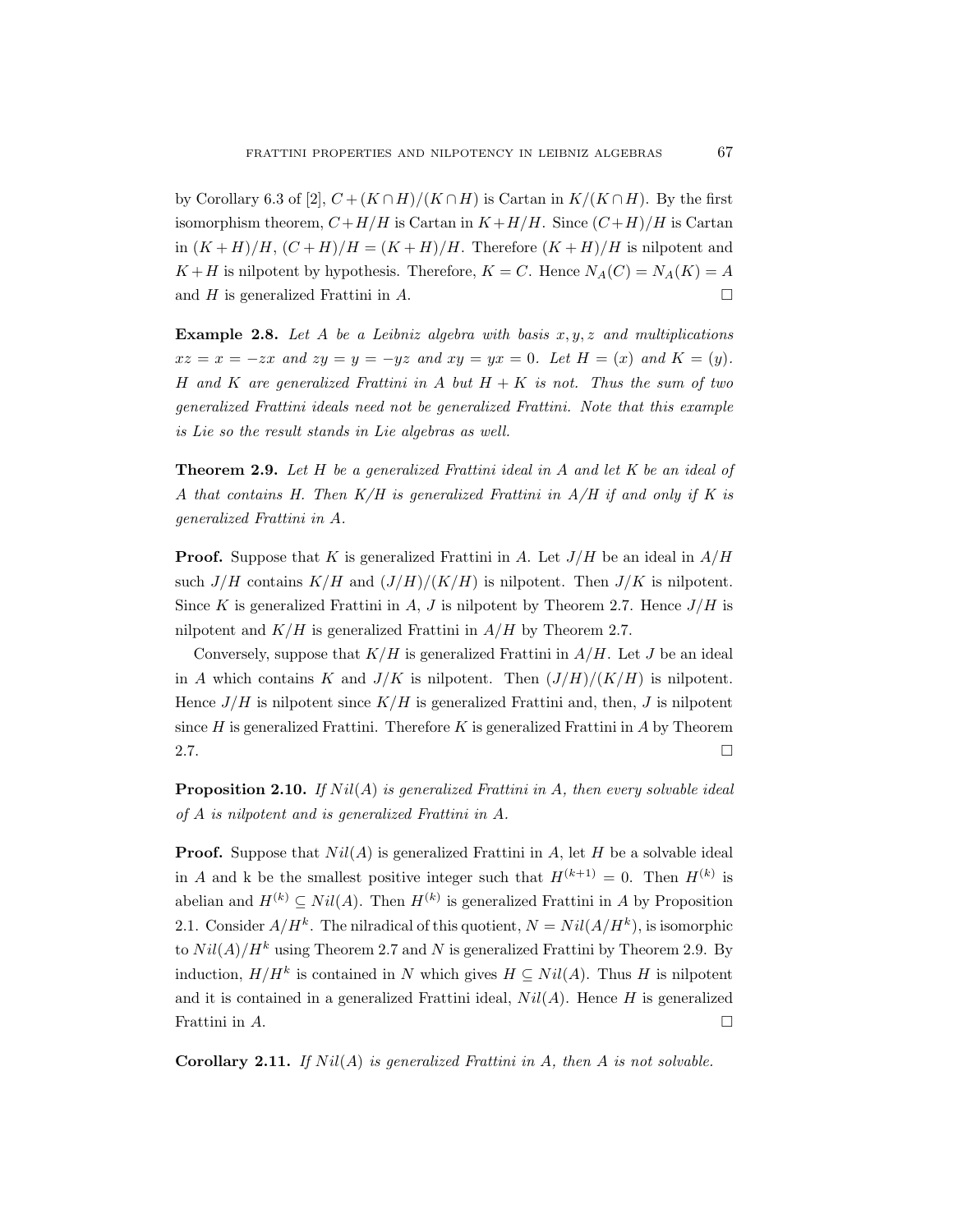by Corollary 6.3 of [2],  $C + (K \cap H)/(K \cap H)$  is Cartan in  $K/(K \cap H)$ . By the first isomorphism theorem,  $C + H/H$  is Cartan in  $K + H/H$ . Since  $(C + H)/H$  is Cartan in  $(K+H)/H$ ,  $(C+H)/H = (K+H)/H$ . Therefore  $(K+H)/H$  is nilpotent and  $K + H$  is nilpotent by hypothesis. Therefore,  $K = C$ . Hence  $N_A(C) = N_A(K) = A$ and H is generalized Frattini in A.

**Example 2.8.** Let A be a Leibniz algebra with basis  $x, y, z$  and multiplications  $xz = x = -zx$  and  $zy = y = -yz$  and  $xy = yx = 0$ . Let  $H = (x)$  and  $K = (y)$ . H and K are generalized Frattini in A but  $H + K$  is not. Thus the sum of two generalized Frattini ideals need not be generalized Frattini. Note that this example is Lie so the result stands in Lie algebras as well.

**Theorem 2.9.** Let  $H$  be a generalized Frattini ideal in  $A$  and let  $K$  be an ideal of A that contains H. Then  $K/H$  is generalized Frattini in  $A/H$  if and only if K is generalized Frattini in A.

**Proof.** Suppose that K is generalized Frattini in A. Let  $J/H$  be an ideal in  $A/H$ such  $J/H$  contains  $K/H$  and  $(J/H)/(K/H)$  is nilpotent. Then  $J/K$  is nilpotent. Since K is generalized Frattini in A, J is nilpotent by Theorem 2.7. Hence  $J/H$  is nilpotent and  $K/H$  is generalized Frattini in  $A/H$  by Theorem 2.7.

Conversely, suppose that  $K/H$  is generalized Frattini in  $A/H$ . Let J be an ideal in A which contains K and  $J/K$  is nilpotent. Then  $(J/H)/(K/H)$  is nilpotent. Hence  $J/H$  is nilpotent since  $K/H$  is generalized Frattini and, then, J is nilpotent since  $H$  is generalized Frattini. Therefore  $K$  is generalized Frattini in  $A$  by Theorem 2.7.  $\Box$ 

**Proposition 2.10.** If  $Nil(A)$  is generalized Frattini in A, then every solvable ideal of A is nilpotent and is generalized Frattini in A.

**Proof.** Suppose that  $Nil(A)$  is generalized Frattini in A, let H be a solvable ideal in A and k be the smallest positive integer such that  $H^{(k+1)} = 0$ . Then  $H^{(k)}$  is abelian and  $H^{(k)} \subseteq Nil(A)$ . Then  $H^{(k)}$  is generalized Frattini in A by Proposition 2.1. Consider  $A/H^k$ . The nilradical of this quotient,  $N = Nil(A/H^k)$ , is isomorphic to  $Nil(A)/H^k$  using Theorem 2.7 and N is generalized Frattini by Theorem 2.9. By induction,  $H/H^k$  is contained in N which gives  $H \subseteq Nil(A)$ . Thus H is nilpotent and it is contained in a generalized Frattini ideal,  $Nil(A)$ . Hence H is generalized Frattini in  $A$ .

**Corollary 2.11.** If  $Nil(A)$  is generalized Frattini in A, then A is not solvable.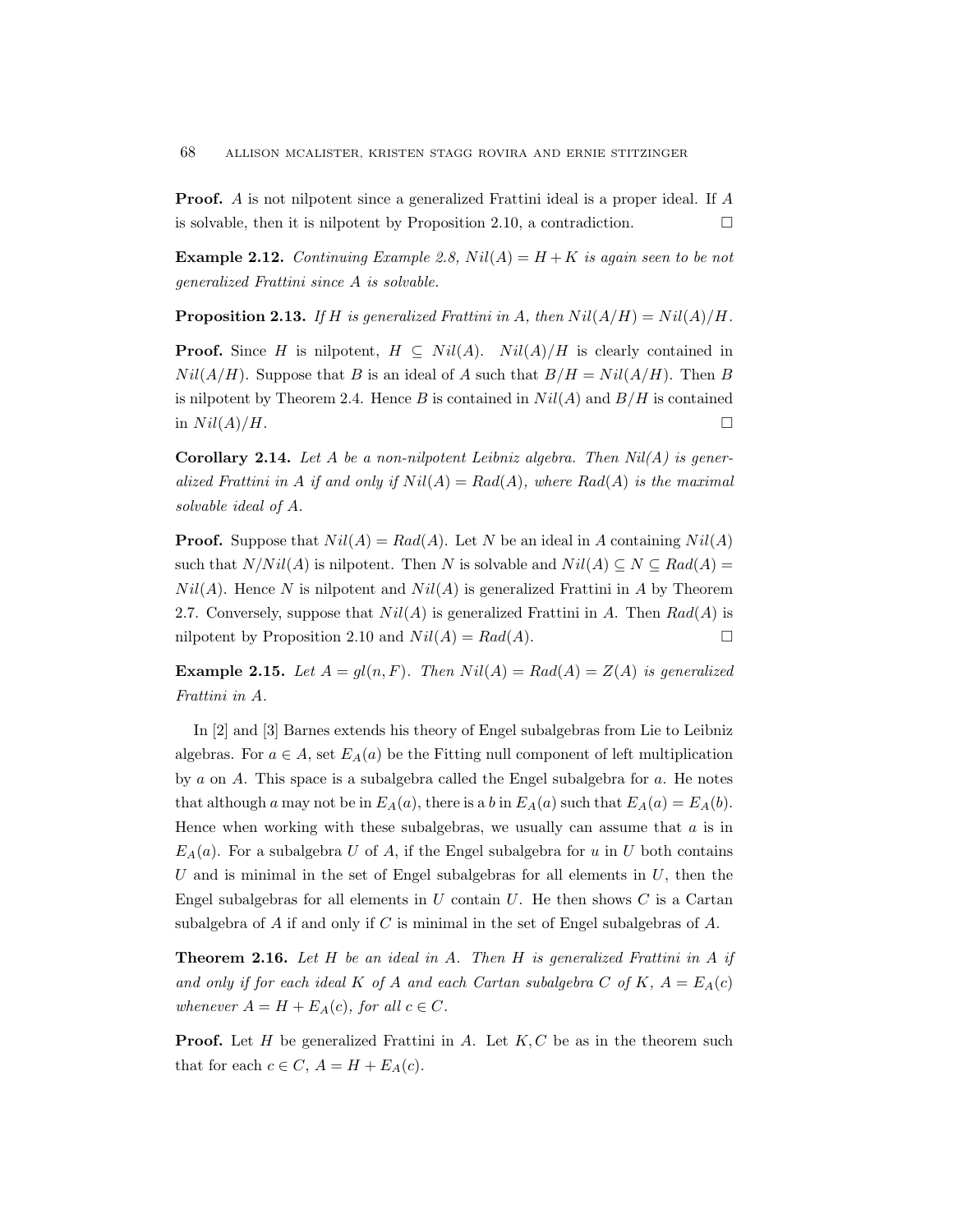Proof. A is not nilpotent since a generalized Frattini ideal is a proper ideal. If A is solvable, then it is nilpotent by Proposition 2.10, a contradiction.  $\Box$ 

**Example 2.12.** Continuing Example 2.8,  $Nil(A) = H + K$  is again seen to be not generalized Frattini since A is solvable.

**Proposition 2.13.** If H is generalized Frattini in A, then  $Nil(A/H) = Nil(A)/H$ .

**Proof.** Since H is nilpotent,  $H \subseteq Nil(A)$ .  $Nil(A)/H$  is clearly contained in  $Nil(A/H)$ . Suppose that B is an ideal of A such that  $B/H = Nil(A/H)$ . Then B is nilpotent by Theorem 2.4. Hence B is contained in  $Nil(A)$  and  $B/H$  is contained in  $Nil(A)/H$ .

**Corollary 2.14.** Let A be a non-nilpotent Leibniz algebra. Then  $Nil(A)$  is generalized Frattini in A if and only if  $Nil(A) = Rad(A)$ , where  $Rad(A)$  is the maximal solvable ideal of A.

**Proof.** Suppose that  $Nil(A) = Rad(A)$ . Let N be an ideal in A containing  $Nil(A)$ such that  $N/Nil(A)$  is nilpotent. Then N is solvable and  $Nil(A) \subseteq N \subseteq Rad(A)$  $Nil(A)$ . Hence N is nilpotent and  $Nil(A)$  is generalized Frattini in A by Theorem 2.7. Conversely, suppose that  $Nil(A)$  is generalized Frattini in A. Then  $Rad(A)$  is nilpotent by Proposition 2.10 and  $Nil(A) = Rad(A)$ .

**Example 2.15.** Let  $A = gl(n, F)$ . Then  $Nil(A) = Rad(A) = Z(A)$  is generalized Frattini in A.

In [2] and [3] Barnes extends his theory of Engel subalgebras from Lie to Leibniz algebras. For  $a \in A$ , set  $E_A(a)$  be the Fitting null component of left multiplication by a on A. This space is a subalgebra called the Engel subalgebra for a. He notes that although a may not be in  $E_A(a)$ , there is a b in  $E_A(a)$  such that  $E_A(a) = E_A(b)$ . Hence when working with these subalgebras, we usually can assume that  $a$  is in  $E_A(a)$ . For a subalgebra U of A, if the Engel subalgebra for u in U both contains U and is minimal in the set of Engel subalgebras for all elements in  $U$ , then the Engel subalgebras for all elements in  $U$  contain  $U$ . He then shows  $C$  is a Cartan subalgebra of  $A$  if and only if  $C$  is minimal in the set of Engel subalgebras of  $A$ .

**Theorem 2.16.** Let  $H$  be an ideal in  $A$ . Then  $H$  is generalized Frattini in  $A$  if and only if for each ideal K of A and each Cartan subalgebra C of K,  $A = E_A(c)$ whenever  $A = H + E_A(c)$ , for all  $c \in C$ .

**Proof.** Let  $H$  be generalized Frattini in  $A$ . Let  $K, C$  be as in the theorem such that for each  $c \in C$ ,  $A = H + E_A(c)$ .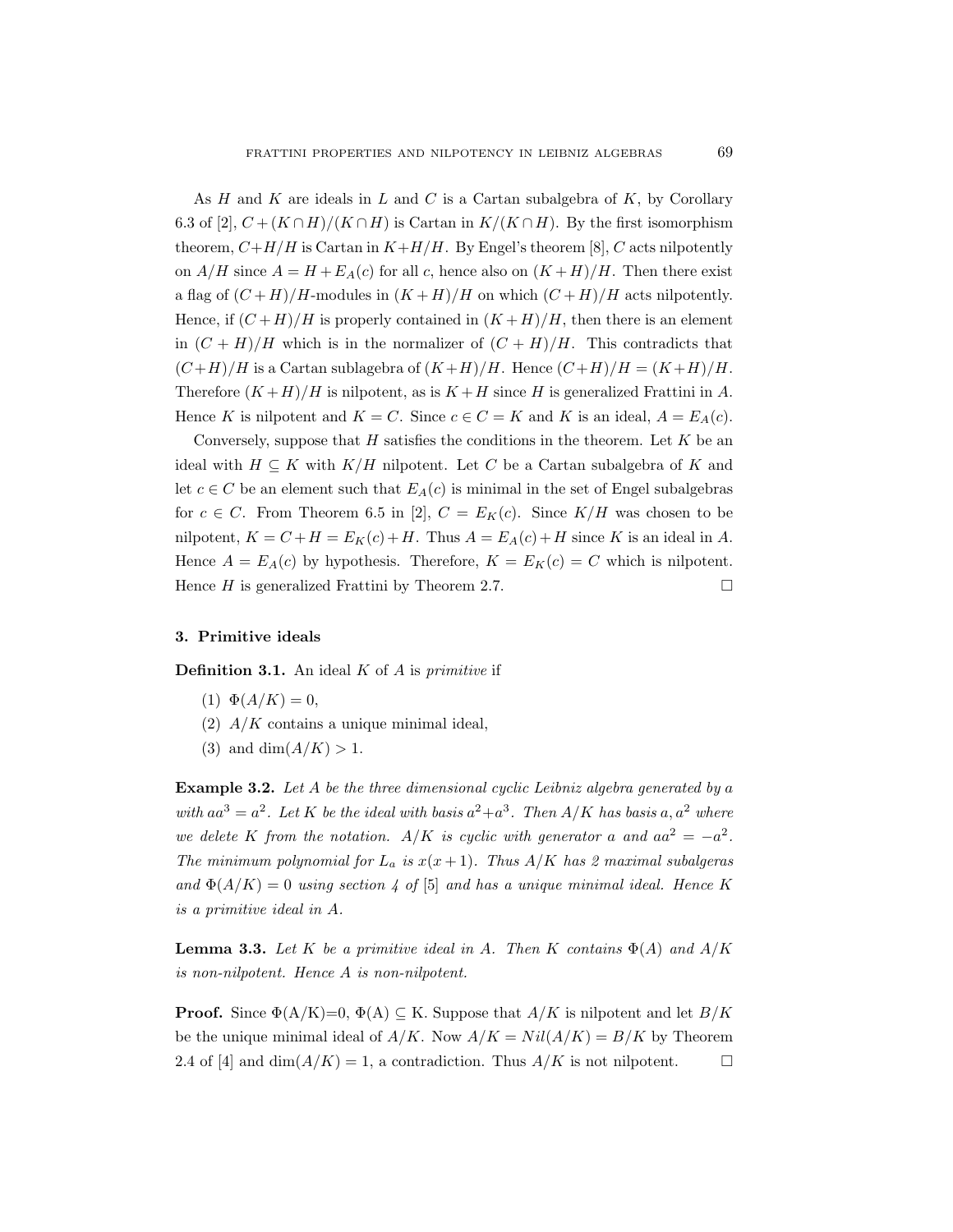As  $H$  and  $K$  are ideals in  $L$  and  $C$  is a Cartan subalgebra of  $K$ , by Corollary 6.3 of [2],  $C + (K \cap H)/(K \cap H)$  is Cartan in  $K/(K \cap H)$ . By the first isomorphism theorem,  $C+H/H$  is Cartan in  $K+H/H$ . By Engel's theorem [8], C acts nilpotently on  $A/H$  since  $A = H + E_A(c)$  for all c, hence also on  $(K+H)/H$ . Then there exist a flag of  $(C+H)/H$ -modules in  $(K+H)/H$  on which  $(C+H)/H$  acts nilpotently. Hence, if  $(C+H)/H$  is properly contained in  $(K+H)/H$ , then there is an element in  $(C + H)/H$  which is in the normalizer of  $(C + H)/H$ . This contradicts that  $(C+H)/H$  is a Cartan sublagebra of  $(K+H)/H$ . Hence  $(C+H)/H = (K+H)/H$ . Therefore  $(K+H)/H$  is nilpotent, as is  $K+H$  since H is generalized Frattini in A. Hence K is nilpotent and  $K = C$ . Since  $c \in C = K$  and K is an ideal,  $A = E_A(c)$ .

Conversely, suppose that  $H$  satisfies the conditions in the theorem. Let  $K$  be an ideal with  $H \subseteq K$  with  $K/H$  nilpotent. Let C be a Cartan subalgebra of K and let  $c \in C$  be an element such that  $E_A(c)$  is minimal in the set of Engel subalgebras for  $c \in C$ . From Theorem 6.5 in [2],  $C = E_K(c)$ . Since  $K/H$  was chosen to be nilpotent,  $K = C + H = E<sub>K</sub>(c) + H$ . Thus  $A = E<sub>A</sub>(c) + H$  since K is an ideal in A. Hence  $A = E_A(c)$  by hypothesis. Therefore,  $K = E_K(c) = C$  which is nilpotent. Hence *H* is generalized Frattini by Theorem 2.7.

#### 3. Primitive ideals

**Definition 3.1.** An ideal  $K$  of  $A$  is *primitive* if

- (1)  $\Phi(A/K) = 0$ ,
- (2)  $A/K$  contains a unique minimal ideal,
- (3) and dim $(A/K) > 1$ .

**Example 3.2.** Let A be the three dimensional cyclic Leibniz algebra generated by a with  $aa^3 = a^2$ . Let K be the ideal with basis  $a^2 + a^3$ . Then  $A/K$  has basis a,  $a^2$  where we delete K from the notation. A/K is cyclic with generator a and  $aa^2 = -a^2$ . The minimum polynomial for  $L_a$  is  $x(x+1)$ . Thus  $A/K$  has 2 maximal subalgeras and  $\Phi(A/K) = 0$  using section 4 of [5] and has a unique minimal ideal. Hence K is a primitive ideal in A.

**Lemma 3.3.** Let K be a primitive ideal in A. Then K contains  $\Phi(A)$  and  $A/K$ is non-nilpotent. Hence A is non-nilpotent.

**Proof.** Since  $\Phi(A/K)=0$ ,  $\Phi(A) \subseteq K$ . Suppose that  $A/K$  is nilpotent and let  $B/K$ be the unique minimal ideal of  $A/K$ . Now  $A/K = Nil(A/K) = B/K$  by Theorem 2.4 of [4] and dim( $A/K$ ) = 1, a contradiction. Thus  $A/K$  is not nilpotent.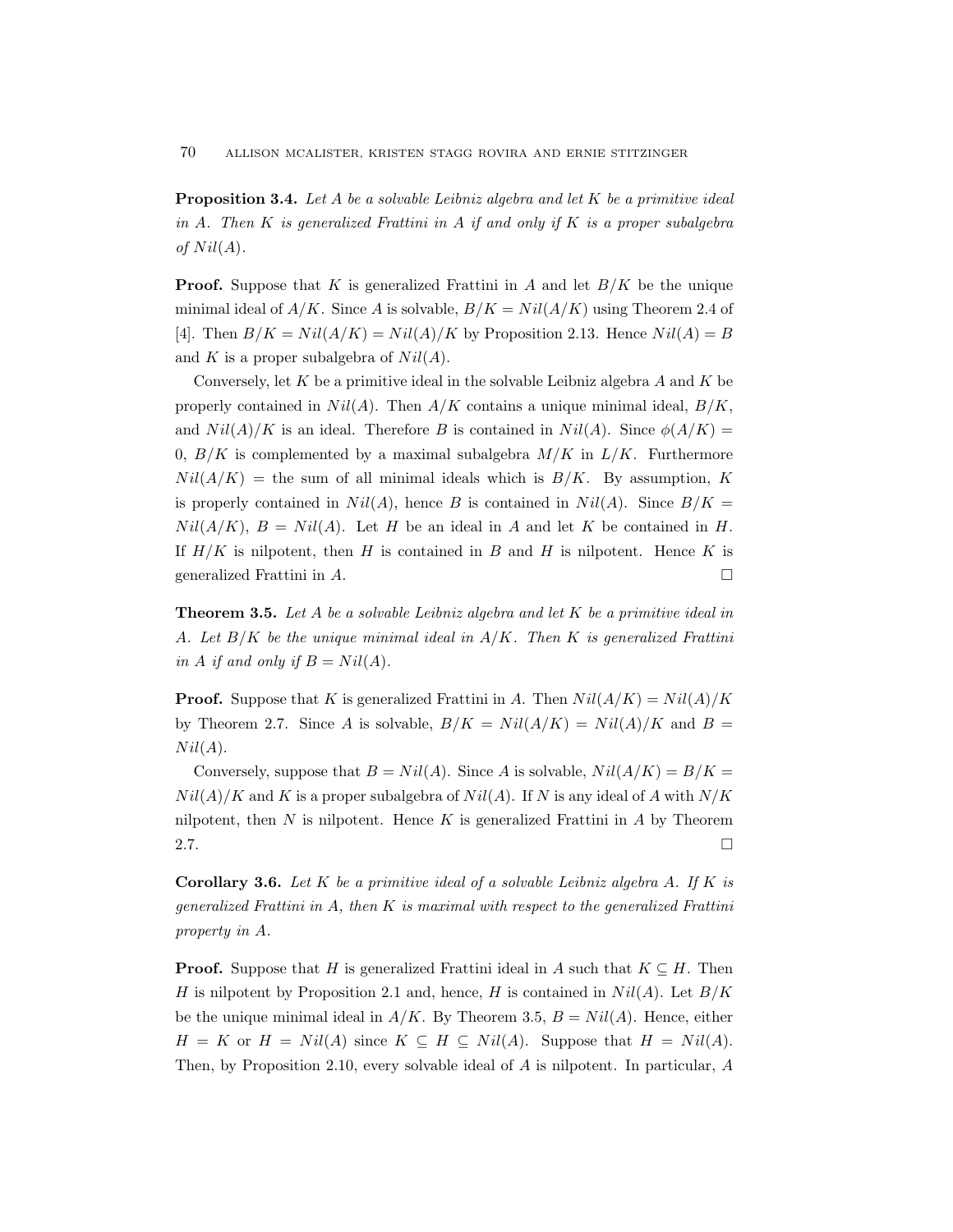70 ALLISON MCALISTER, KRISTEN STAGG ROVIRA AND ERNIE STITZINGER

**Proposition 3.4.** Let A be a solvable Leibniz algebra and let K be a primitive ideal in A. Then K is generalized Frattini in A if and only if K is a proper subalgebra of  $Nil(A).$ 

**Proof.** Suppose that K is generalized Frattini in A and let  $B/K$  be the unique minimal ideal of  $A/K$ . Since A is solvable,  $B/K = Nil(A/K)$  using Theorem 2.4 of [4]. Then  $B/K = Nil(A/K) = Nil(A)/K$  by Proposition 2.13. Hence  $Nil(A) = B$ and K is a proper subalgebra of  $Nil(A)$ .

Conversely, let  $K$  be a primitive ideal in the solvable Leibniz algebra  $A$  and  $K$  be properly contained in  $Nil(A)$ . Then  $A/K$  contains a unique minimal ideal,  $B/K$ , and  $Nil(A)/K$  is an ideal. Therefore B is contained in  $Nil(A)$ . Since  $\phi(A/K)$  = 0,  $B/K$  is complemented by a maximal subalgebra  $M/K$  in  $L/K$ . Furthermore  $Nil(A/K)$  = the sum of all minimal ideals which is  $B/K$ . By assumption, K is properly contained in  $Nil(A)$ , hence B is contained in  $Nil(A)$ . Since  $B/K =$  $Nil(A/K), B = Nil(A)$ . Let H be an ideal in A and let K be contained in H. If  $H/K$  is nilpotent, then H is contained in B and H is nilpotent. Hence K is generalized Frattini in  $A$ .

**Theorem 3.5.** Let A be a solvable Leibniz algebra and let K be a primitive ideal in A. Let  $B/K$  be the unique minimal ideal in  $A/K$ . Then K is generalized Frattini in A if and only if  $B = Nil(A)$ .

**Proof.** Suppose that K is generalized Frattini in A. Then  $Nil(A/K) = Nil(A)/K$ by Theorem 2.7. Since A is solvable,  $B/K = Nil(A/K) = Nil(A)/K$  and  $B =$  $Nil(A).$ 

Conversely, suppose that  $B = Nil(A)$ . Since A is solvable,  $Nil(A/K) = B/K =$  $Nil(A)/K$  and K is a proper subalgebra of  $Nil(A)$ . If N is any ideal of A with  $N/K$ nilpotent, then  $N$  is nilpotent. Hence  $K$  is generalized Frattini in  $A$  by Theorem 2.7.  $\Box$ 

**Corollary 3.6.** Let K be a primitive ideal of a solvable Leibniz algebra A. If K is generalized Frattini in  $A$ , then  $K$  is maximal with respect to the generalized Frattini property in A.

**Proof.** Suppose that H is generalized Frattini ideal in A such that  $K \subseteq H$ . Then H is nilpotent by Proposition 2.1 and, hence, H is contained in  $Nil(A)$ . Let  $B/K$ be the unique minimal ideal in  $A/K$ . By Theorem 3.5,  $B = Nil(A)$ . Hence, either  $H = K$  or  $H = Nil(A)$  since  $K \subseteq H \subseteq Nil(A)$ . Suppose that  $H = Nil(A)$ . Then, by Proposition 2.10, every solvable ideal of A is nilpotent. In particular, A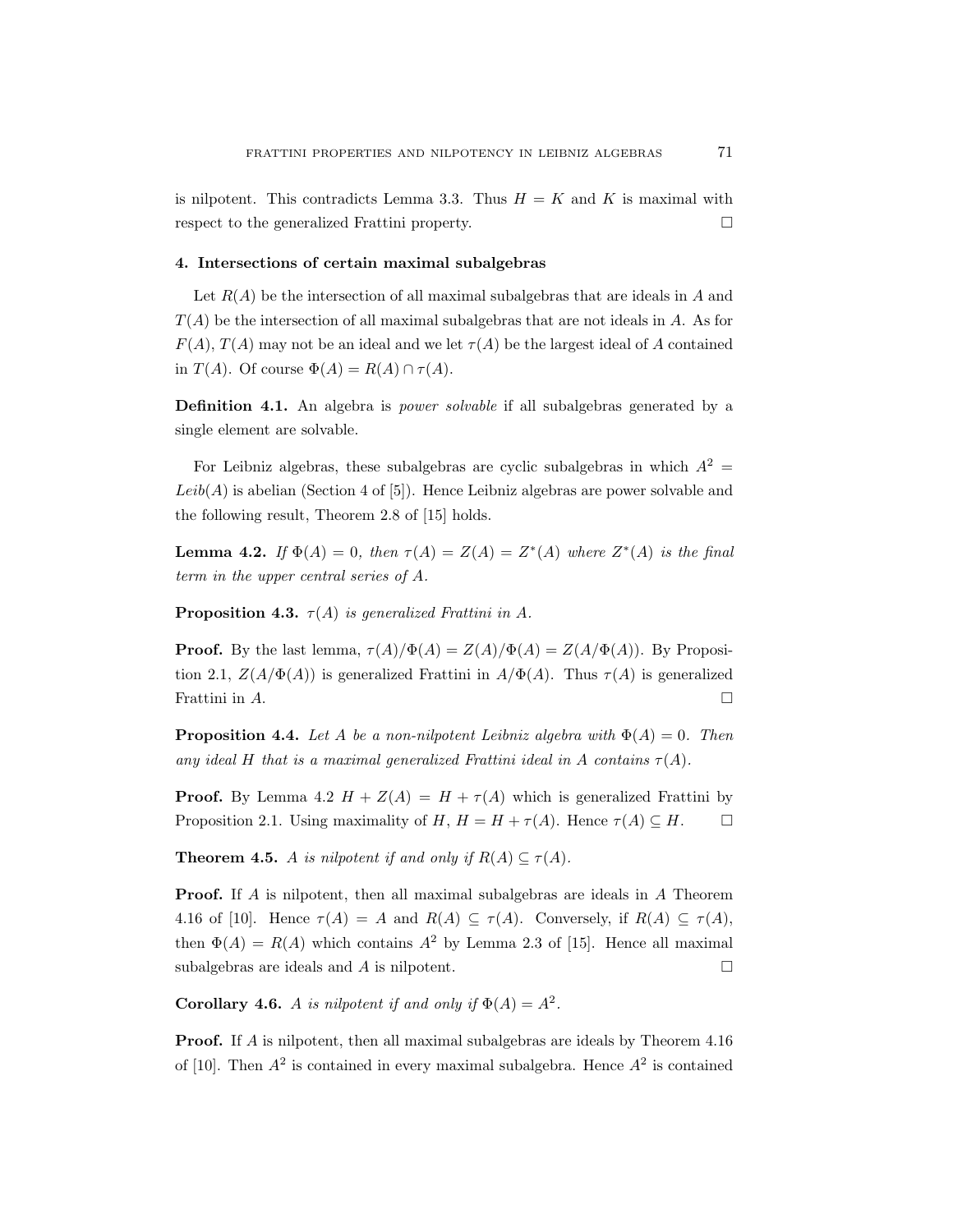is nilpotent. This contradicts Lemma 3.3. Thus  $H = K$  and K is maximal with respect to the generalized Frattini property.

#### 4. Intersections of certain maximal subalgebras

Let  $R(A)$  be the intersection of all maximal subalgebras that are ideals in A and  $T(A)$  be the intersection of all maximal subalgebras that are not ideals in A. As for  $F(A)$ ,  $T(A)$  may not be an ideal and we let  $\tau(A)$  be the largest ideal of A contained in  $T(A)$ . Of course  $\Phi(A) = R(A) \cap \tau(A)$ .

Definition 4.1. An algebra is power solvable if all subalgebras generated by a single element are solvable.

For Leibniz algebras, these subalgebras are cyclic subalgebras in which  $A^2 =$  $Leib(A)$  is abelian (Section 4 of [5]). Hence Leibniz algebras are power solvable and the following result, Theorem 2.8 of [15] holds.

**Lemma 4.2.** If  $\Phi(A) = 0$ , then  $\tau(A) = Z(A) = Z^*(A)$  where  $Z^*(A)$  is the final term in the upper central series of A.

**Proposition 4.3.**  $\tau(A)$  is generalized Frattini in A.

**Proof.** By the last lemma,  $\tau(A)/\Phi(A) = Z(A)/\Phi(A) = Z(A/\Phi(A))$ . By Proposition 2.1,  $Z(A/\Phi(A))$  is generalized Frattini in  $A/\Phi(A)$ . Thus  $\tau(A)$  is generalized Frattini in  $A$ .

**Proposition 4.4.** Let A be a non-nilpotent Leibniz algebra with  $\Phi(A) = 0$ . Then any ideal H that is a maximal generalized Frattini ideal in A contains  $\tau(A)$ .

**Proof.** By Lemma 4.2  $H + Z(A) = H + \tau(A)$  which is generalized Frattini by Proposition 2.1. Using maximality of H,  $H = H + \tau(A)$ . Hence  $\tau(A) \subseteq H$ .  $\Box$ 

**Theorem 4.5.** A is nilpotent if and only if  $R(A) \subseteq \tau(A)$ .

Proof. If A is nilpotent, then all maximal subalgebras are ideals in A Theorem 4.16 of [10]. Hence  $\tau(A) = A$  and  $R(A) \subseteq \tau(A)$ . Conversely, if  $R(A) \subseteq \tau(A)$ , then  $\Phi(A) = R(A)$  which contains  $A^2$  by Lemma 2.3 of [15]. Hence all maximal subalgebras are ideals and A is nilpotent.  $\Box$ 

**Corollary 4.6.** A is nilpotent if and only if  $\Phi(A) = A^2$ .

Proof. If A is nilpotent, then all maximal subalgebras are ideals by Theorem 4.16 of [10]. Then  $A^2$  is contained in every maximal subalgebra. Hence  $A^2$  is contained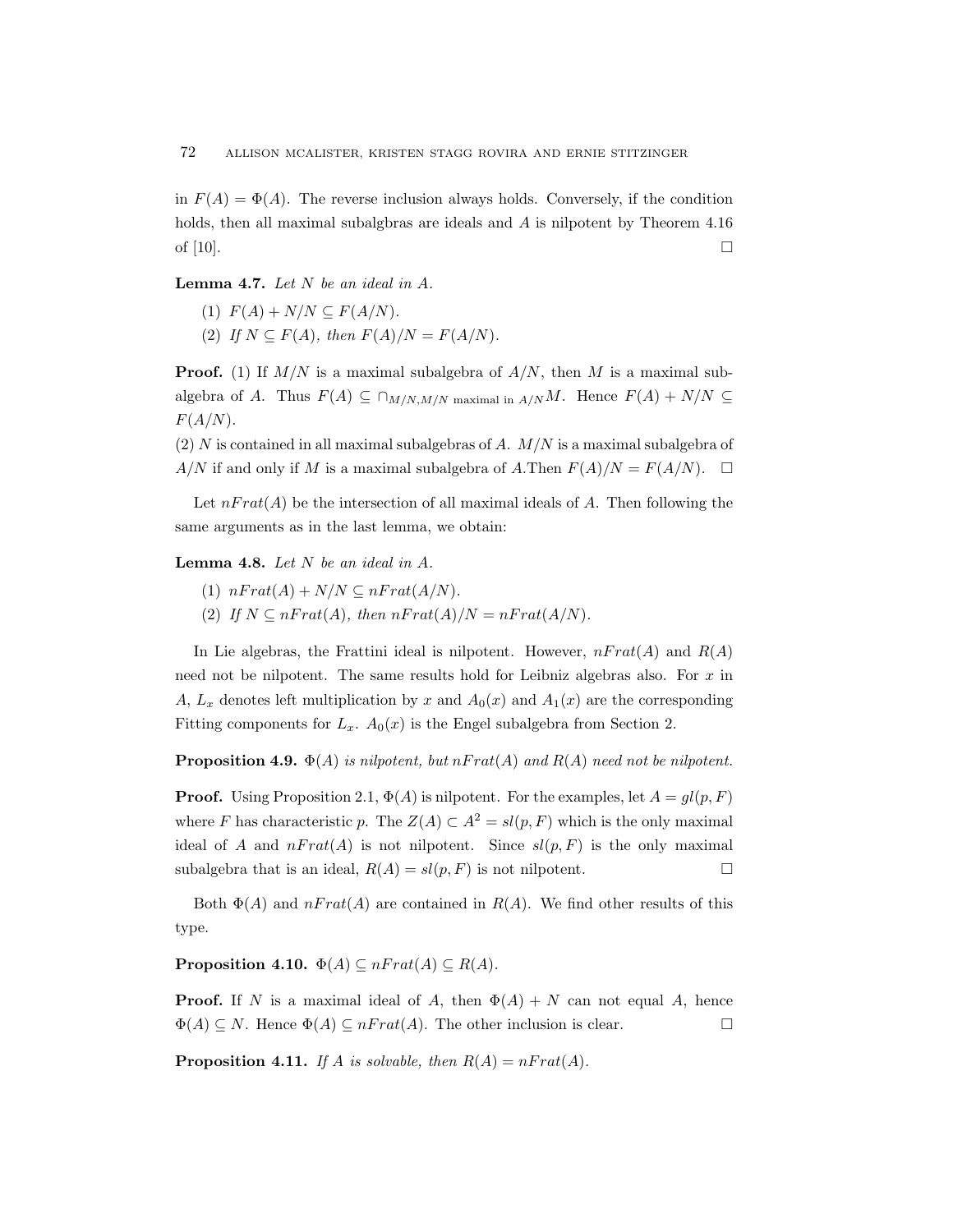in  $F(A) = \Phi(A)$ . The reverse inclusion always holds. Conversely, if the condition holds, then all maximal subalgbras are ideals and A is nilpotent by Theorem 4.16 of  $[10]$ .

**Lemma 4.7.** Let  $N$  be an ideal in  $A$ .

- (1)  $F(A) + N/N \subseteq F(A/N)$ .
- (2) If  $N \subseteq F(A)$ , then  $F(A)/N = F(A/N)$ .

**Proof.** (1) If  $M/N$  is a maximal subalgebra of  $A/N$ , then M is a maximal subalgebra of A. Thus  $F(A) \subseteq \bigcap_{M/N,M/N \text{ maximal in } A/N} M$ . Hence  $F(A) + N/N \subseteq$  $F(A/N)$ .

(2)  $N$  is contained in all maximal subalgebras of  $A$ .  $M/N$  is a maximal subalgebra of  $A/N$  if and only if M is a maximal subalgebra of A.Then  $F(A)/N = F(A/N)$ .  $\Box$ 

Let  $nFrat(A)$  be the intersection of all maximal ideals of A. Then following the same arguments as in the last lemma, we obtain:

Lemma 4.8. Let  $N$  be an ideal in  $A$ .

- (1)  $nFrat(A) + N/N \subseteq nFrat(A/N)$ .
- (2) If  $N \subseteq nFrat(A)$ , then  $nFrat(A)/N = nFrat(A/N)$ .

In Lie algebras, the Frattini ideal is nilpotent. However,  $n Frat(A)$  and  $R(A)$ need not be nilpotent. The same results hold for Leibniz algebras also. For  $x$  in A,  $L_x$  denotes left multiplication by x and  $A_0(x)$  and  $A_1(x)$  are the corresponding Fitting components for  $L_x$ .  $A_0(x)$  is the Engel subalgebra from Section 2.

**Proposition 4.9.**  $\Phi(A)$  is nilpotent, but  $nFrat(A)$  and  $R(A)$  need not be nilpotent.

**Proof.** Using Proposition 2.1,  $\Phi(A)$  is nilpotent. For the examples, let  $A = gl(p, F)$ where F has characteristic p. The  $Z(A) \subset A^2 = sl(p, F)$  which is the only maximal ideal of A and  $nFrat(A)$  is not nilpotent. Since  $sl(p, F)$  is the only maximal subalgebra that is an ideal,  $R(A) = sl(p, F)$  is not nilpotent.

Both  $\Phi(A)$  and  $nFrat(A)$  are contained in  $R(A)$ . We find other results of this type.

**Proposition 4.10.**  $\Phi(A) \subseteq nFrat(A) \subseteq R(A)$ .

**Proof.** If N is a maximal ideal of A, then  $\Phi(A) + N$  can not equal A, hence  $\Phi(A) \subseteq N$ . Hence  $\Phi(A) \subseteq nFrat(A)$ . The other inclusion is clear.

**Proposition 4.11.** If A is solvable, then  $R(A) = nFrat(A)$ .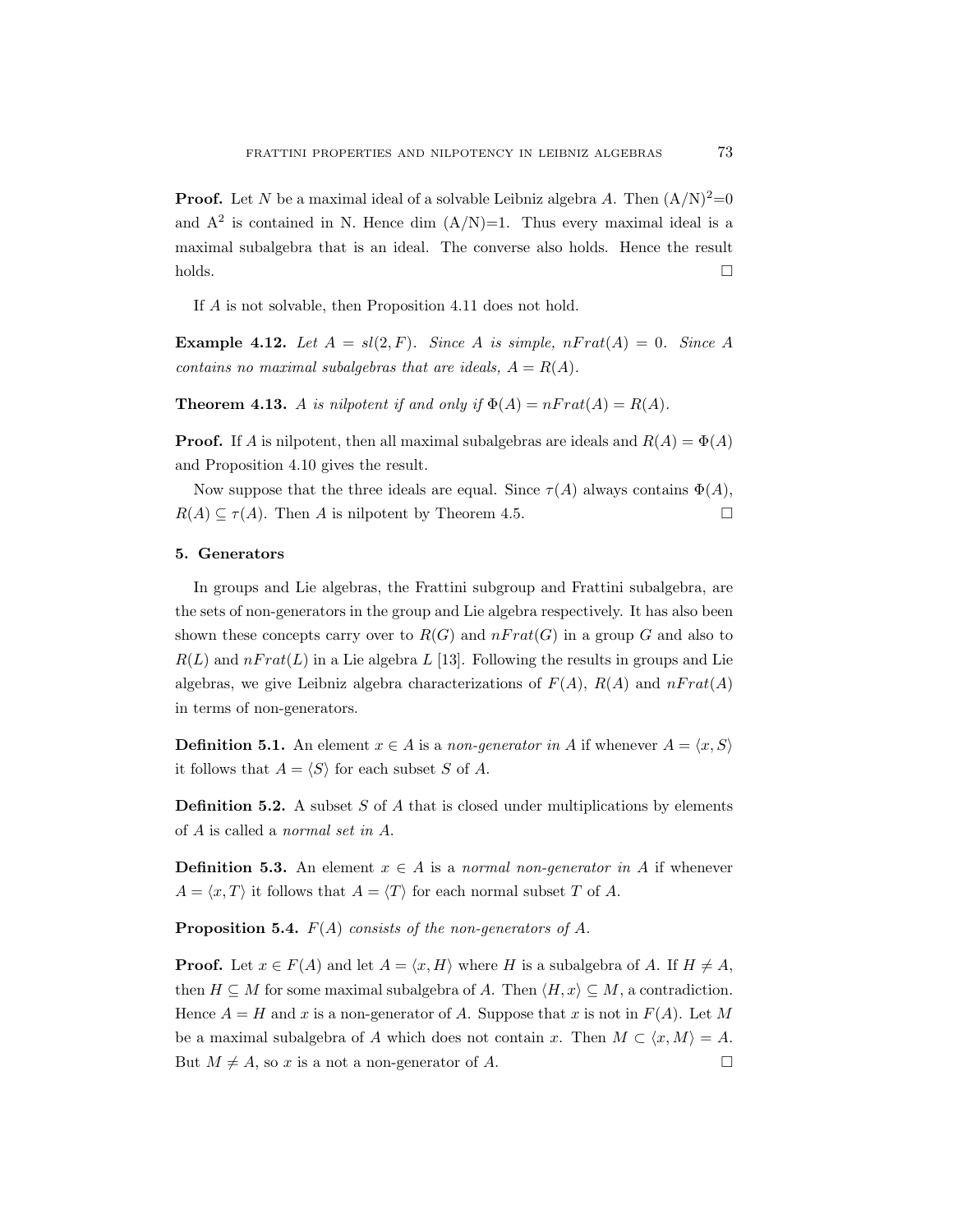**Proof.** Let N be a maximal ideal of a solvable Leibniz algebra A. Then  $(A/N)^2=0$ and  $A^2$  is contained in N. Hence dim  $(A/N)=1$ . Thus every maximal ideal is a maximal subalgebra that is an ideal. The converse also holds. Hence the result  $\Box$ holds.

If A is not solvable, then Proposition 4.11 does not hold.

**Example 4.12.** Let  $A = sl(2, F)$ . Since A is simple,  $nFrat(A) = 0$ . Since A contains no maximal subalgebras that are ideals,  $A = R(A)$ .

**Theorem 4.13.** A is nilpotent if and only if  $\Phi(A) = nFrat(A) = R(A)$ .

**Proof.** If A is nilpotent, then all maximal subalgebras are ideals and  $R(A) = \Phi(A)$ and Proposition 4.10 gives the result.

Now suppose that the three ideals are equal. Since  $\tau(A)$  always contains  $\Phi(A)$ ,  $R(A) \subseteq \tau(A)$ . Then A is nilpotent by Theorem 4.5.

#### 5. Generators

In groups and Lie algebras, the Frattini subgroup and Frattini subalgebra, are the sets of non-generators in the group and Lie algebra respectively. It has also been shown these concepts carry over to  $R(G)$  and  $n Frat(G)$  in a group G and also to  $R(L)$  and  $nFrat(L)$  in a Lie algebra L [13]. Following the results in groups and Lie algebras, we give Leibniz algebra characterizations of  $F(A)$ ,  $R(A)$  and  $nFrat(A)$ in terms of non-generators.

**Definition 5.1.** An element  $x \in A$  is a non-generator in A if whenever  $A = \langle x, S \rangle$ it follows that  $A = \langle S \rangle$  for each subset S of A.

**Definition 5.2.** A subset  $S$  of  $A$  that is closed under multiplications by elements of A is called a normal set in A.

**Definition 5.3.** An element  $x \in A$  is a normal non-generator in A if whenever  $A = \langle x, T \rangle$  it follows that  $A = \langle T \rangle$  for each normal subset T of A.

**Proposition 5.4.**  $F(A)$  consists of the non-generators of A.

**Proof.** Let  $x \in F(A)$  and let  $A = \langle x, H \rangle$  where H is a subalgebra of A. If  $H \neq A$ , then  $H \subseteq M$  for some maximal subalgebra of A. Then  $\langle H, x \rangle \subseteq M$ , a contradiction. Hence  $A = H$  and x is a non-generator of A. Suppose that x is not in  $F(A)$ . Let M be a maximal subalgebra of A which does not contain x. Then  $M \subset \langle x, M \rangle = A$ . But  $M \neq A$ , so x is a not a non-generator of A.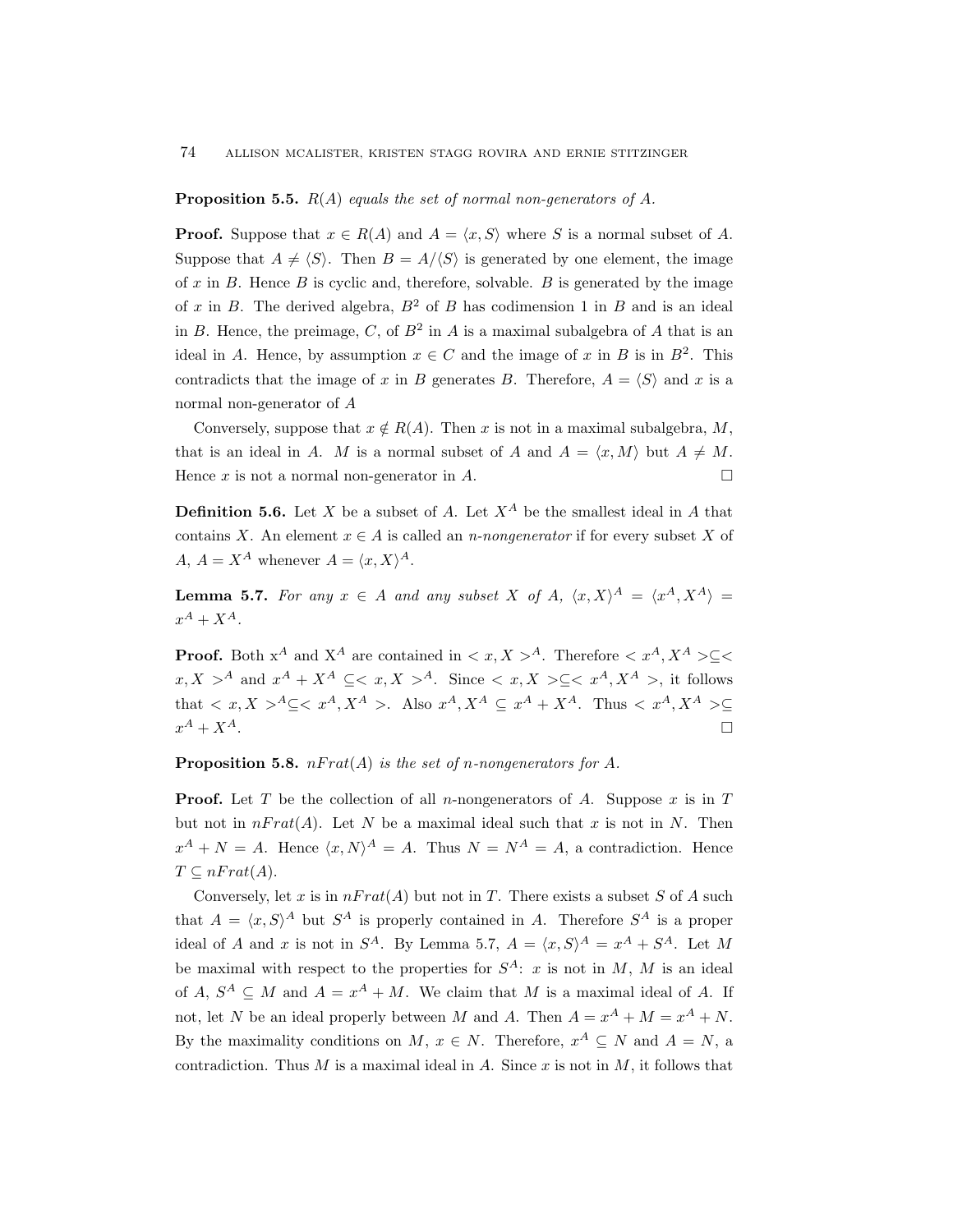#### **Proposition 5.5.**  $R(A)$  equals the set of normal non-generators of A.

**Proof.** Suppose that  $x \in R(A)$  and  $A = \langle x, S \rangle$  where S is a normal subset of A. Suppose that  $A \neq \langle S \rangle$ . Then  $B = A/\langle S \rangle$  is generated by one element, the image of  $x$  in  $B$ . Hence  $B$  is cyclic and, therefore, solvable.  $B$  is generated by the image of x in B. The derived algebra,  $B^2$  of B has codimension 1 in B and is an ideal in B. Hence, the preimage, C, of  $B^2$  in A is a maximal subalgebra of A that is an ideal in A. Hence, by assumption  $x \in C$  and the image of x in B is in  $B^2$ . This contradicts that the image of x in B generates B. Therefore,  $A = \langle S \rangle$  and x is a normal non-generator of A

Conversely, suppose that  $x \notin R(A)$ . Then x is not in a maximal subalgebra, M, that is an ideal in A. M is a normal subset of A and  $A = \langle x, M \rangle$  but  $A \neq M$ . Hence x is not a normal non-generator in A.

**Definition 5.6.** Let X be a subset of A. Let  $X^A$  be the smallest ideal in A that contains X. An element  $x \in A$  is called an *n-nongenerator* if for every subset X of A,  $A = X^A$  whenever  $A = \langle x, X \rangle^A$ .

**Lemma 5.7.** For any  $x \in A$  and any subset X of A,  $\langle x, X \rangle^A = \langle x^A, X^A \rangle =$  $x^A + X^A$ .

**Proof.** Both  $x^A$  and  $X^A$  are contained in  $\langle x, X \rangle^A$ . Therefore  $\langle x^A, X^A \rangle^C \langle x^A, X^A \rangle^C$  $x, X > A$  and  $x^A + X^A \subseteq  A$ . Since  $< x, X > \subseteq$ , it follows that  $\langle x, X \rangle^A \subseteq \langle x^A, X^A \rangle$ . Also  $x^A, X^A \subseteq x^A + X^A$ . Thus  $\langle x^A, X^A \rangle \subseteq$  $x^A + X^A$ .  $A + X^A$ .

**Proposition 5.8.**  $nFrat(A)$  is the set of n-nongenerators for A.

**Proof.** Let T be the collection of all n-nongenerators of A. Suppose x is in T but not in  $n Frat(A)$ . Let N be a maximal ideal such that x is not in N. Then  $x^{A} + N = A$ . Hence  $\langle x, N \rangle^{A} = A$ . Thus  $N = N^{A} = A$ , a contradiction. Hence  $T \subseteq nFrat(A).$ 

Conversely, let x is in  $nFrat(A)$  but not in T. There exists a subset S of A such that  $A = \langle x, S \rangle^A$  but  $S^A$  is properly contained in A. Therefore  $S^A$  is a proper ideal of A and x is not in  $S^A$ . By Lemma 5.7,  $A = \langle x, S \rangle^A = x^A + S^A$ . Let M be maximal with respect to the properties for  $S^A$ : x is not in M, M is an ideal of  $A, S^A \subseteq M$  and  $A = x^A + M$ . We claim that M is a maximal ideal of A. If not, let N be an ideal properly between M and A. Then  $A = x^A + M = x^A + N$ . By the maximality conditions on M,  $x \in N$ . Therefore,  $x^A \subseteq N$  and  $A = N$ , a contradiction. Thus M is a maximal ideal in A. Since x is not in M, it follows that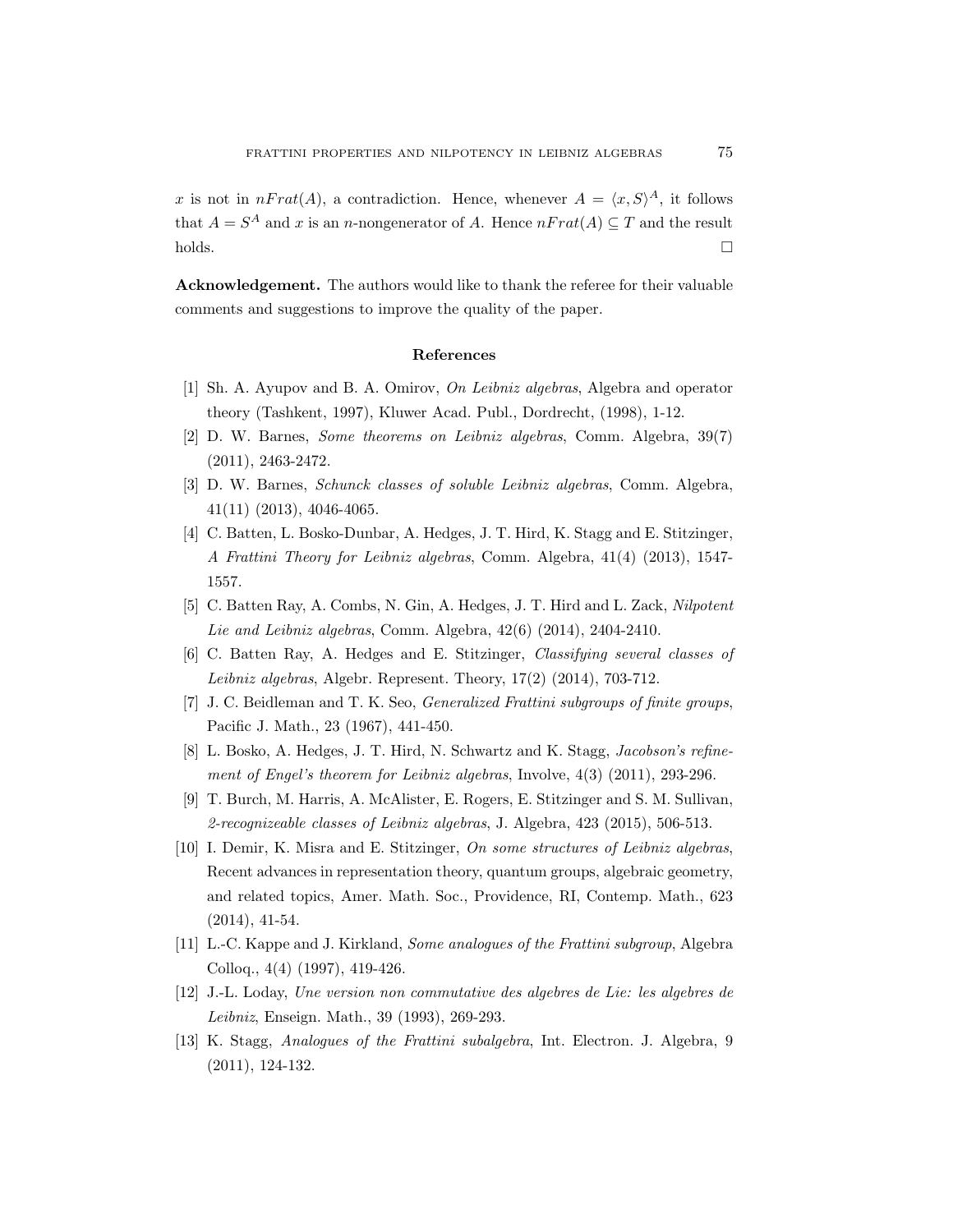x is not in  $nFrat(A)$ , a contradiction. Hence, whenever  $A = \langle x, S \rangle^A$ , it follows that  $A = S^A$  and x is an n-nongenerator of A. Hence  $nFrat(A) \subseteq T$  and the result  $\Box$ holds.

Acknowledgement. The authors would like to thank the referee for their valuable comments and suggestions to improve the quality of the paper.

#### References

- [1] Sh. A. Ayupov and B. A. Omirov, On Leibniz algebras, Algebra and operator theory (Tashkent, 1997), Kluwer Acad. Publ., Dordrecht, (1998), 1-12.
- [2] D. W. Barnes, Some theorems on Leibniz algebras, Comm. Algebra, 39(7) (2011), 2463-2472.
- [3] D. W. Barnes, Schunck classes of soluble Leibniz algebras, Comm. Algebra, 41(11) (2013), 4046-4065.
- [4] C. Batten, L. Bosko-Dunbar, A. Hedges, J. T. Hird, K. Stagg and E. Stitzinger, A Frattini Theory for Leibniz algebras, Comm. Algebra, 41(4) (2013), 1547- 1557.
- [5] C. Batten Ray, A. Combs, N. Gin, A. Hedges, J. T. Hird and L. Zack, Nilpotent Lie and Leibniz algebras, Comm. Algebra, 42(6) (2014), 2404-2410.
- [6] C. Batten Ray, A. Hedges and E. Stitzinger, Classifying several classes of Leibniz algebras, Algebr. Represent. Theory, 17(2) (2014), 703-712.
- [7] J. C. Beidleman and T. K. Seo, *Generalized Frattini subgroups* of finite groups, Pacific J. Math., 23 (1967), 441-450.
- [8] L. Bosko, A. Hedges, J. T. Hird, N. Schwartz and K. Stagg, Jacobson's refinement of Engel's theorem for Leibniz algebras, Involve, 4(3) (2011), 293-296.
- [9] T. Burch, M. Harris, A. McAlister, E. Rogers, E. Stitzinger and S. M. Sullivan, 2-recognizeable classes of Leibniz algebras, J. Algebra, 423 (2015), 506-513.
- [10] I. Demir, K. Misra and E. Stitzinger, On some structures of Leibniz algebras, Recent advances in representation theory, quantum groups, algebraic geometry, and related topics, Amer. Math. Soc., Providence, RI, Contemp. Math., 623 (2014), 41-54.
- [11] L.-C. Kappe and J. Kirkland, Some analogues of the Frattini subgroup, Algebra Colloq., 4(4) (1997), 419-426.
- [12] J.-L. Loday, Une version non commutative des algebres de Lie: les algebres de Leibniz, Enseign. Math., 39 (1993), 269-293.
- [13] K. Stagg, Analogues of the Frattini subalgebra, Int. Electron. J. Algebra, 9 (2011), 124-132.